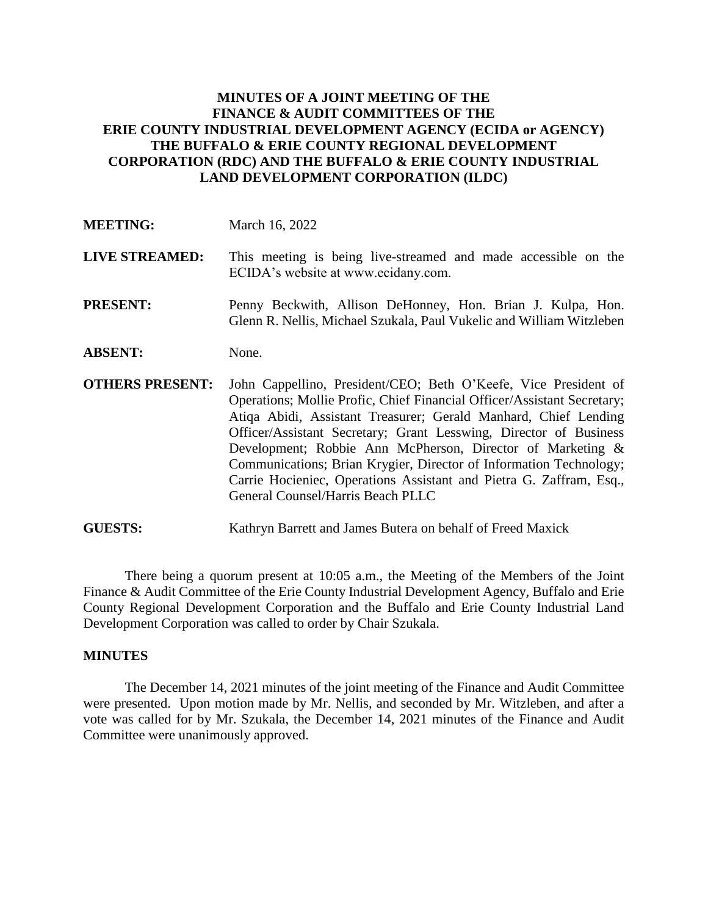# **MINUTES OF A JOINT MEETING OF THE FINANCE & AUDIT COMMITTEES OF THE ERIE COUNTY INDUSTRIAL DEVELOPMENT AGENCY (ECIDA or AGENCY) THE BUFFALO & ERIE COUNTY REGIONAL DEVELOPMENT CORPORATION (RDC) AND THE BUFFALO & ERIE COUNTY INDUSTRIAL LAND DEVELOPMENT CORPORATION (ILDC)**

| <b>MEETING:</b>        | March 16, 2022                                                                                                                                                                                                                                                                                                                                                                                                                                                                                                                     |
|------------------------|------------------------------------------------------------------------------------------------------------------------------------------------------------------------------------------------------------------------------------------------------------------------------------------------------------------------------------------------------------------------------------------------------------------------------------------------------------------------------------------------------------------------------------|
| <b>LIVE STREAMED:</b>  | This meeting is being live-streamed and made accessible on the<br>ECIDA's website at www.ecidany.com.                                                                                                                                                                                                                                                                                                                                                                                                                              |
| <b>PRESENT:</b>        | Penny Beckwith, Allison DeHonney, Hon. Brian J. Kulpa, Hon.<br>Glenn R. Nellis, Michael Szukala, Paul Vukelic and William Witzleben                                                                                                                                                                                                                                                                                                                                                                                                |
| <b>ABSENT:</b>         | None.                                                                                                                                                                                                                                                                                                                                                                                                                                                                                                                              |
| <b>OTHERS PRESENT:</b> | John Cappellino, President/CEO; Beth O'Keefe, Vice President of<br>Operations; Mollie Profic, Chief Financial Officer/Assistant Secretary;<br>Atiqa Abidi, Assistant Treasurer; Gerald Manhard, Chief Lending<br>Officer/Assistant Secretary; Grant Lesswing, Director of Business<br>Development; Robbie Ann McPherson, Director of Marketing &<br>Communications; Brian Krygier, Director of Information Technology;<br>Carrie Hocieniec, Operations Assistant and Pietra G. Zaffram, Esq.,<br>General Counsel/Harris Beach PLLC |

**GUESTS:** Kathryn Barrett and James Butera on behalf of Freed Maxick

There being a quorum present at 10:05 a.m., the Meeting of the Members of the Joint Finance & Audit Committee of the Erie County Industrial Development Agency, Buffalo and Erie County Regional Development Corporation and the Buffalo and Erie County Industrial Land Development Corporation was called to order by Chair Szukala.

### **MINUTES**

The December 14, 2021 minutes of the joint meeting of the Finance and Audit Committee were presented. Upon motion made by Mr. Nellis, and seconded by Mr. Witzleben, and after a vote was called for by Mr. Szukala, the December 14, 2021 minutes of the Finance and Audit Committee were unanimously approved.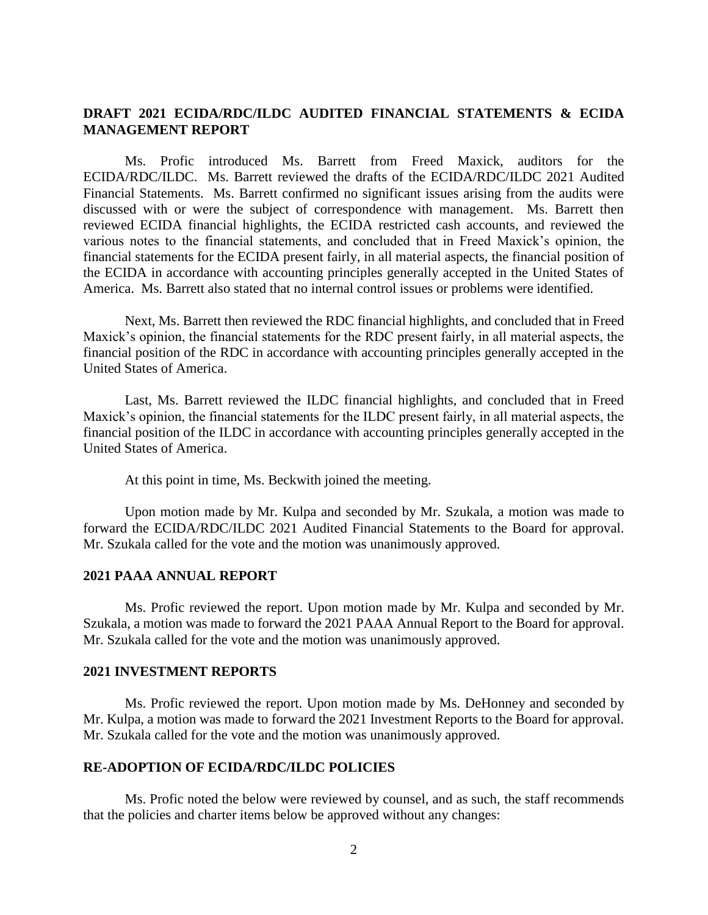# **DRAFT 2021 ECIDA/RDC/ILDC AUDITED FINANCIAL STATEMENTS & ECIDA MANAGEMENT REPORT**

Ms. Profic introduced Ms. Barrett from Freed Maxick, auditors for the ECIDA/RDC/ILDC. Ms. Barrett reviewed the drafts of the ECIDA/RDC/ILDC 2021 Audited Financial Statements. Ms. Barrett confirmed no significant issues arising from the audits were discussed with or were the subject of correspondence with management. Ms. Barrett then reviewed ECIDA financial highlights, the ECIDA restricted cash accounts, and reviewed the various notes to the financial statements, and concluded that in Freed Maxick's opinion, the financial statements for the ECIDA present fairly, in all material aspects, the financial position of the ECIDA in accordance with accounting principles generally accepted in the United States of America. Ms. Barrett also stated that no internal control issues or problems were identified.

Next, Ms. Barrett then reviewed the RDC financial highlights, and concluded that in Freed Maxick's opinion, the financial statements for the RDC present fairly, in all material aspects, the financial position of the RDC in accordance with accounting principles generally accepted in the United States of America.

Last, Ms. Barrett reviewed the ILDC financial highlights, and concluded that in Freed Maxick's opinion, the financial statements for the ILDC present fairly, in all material aspects, the financial position of the ILDC in accordance with accounting principles generally accepted in the United States of America.

At this point in time, Ms. Beckwith joined the meeting.

Upon motion made by Mr. Kulpa and seconded by Mr. Szukala, a motion was made to forward the ECIDA/RDC/ILDC 2021 Audited Financial Statements to the Board for approval. Mr. Szukala called for the vote and the motion was unanimously approved.

### **2021 PAAA ANNUAL REPORT**

Ms. Profic reviewed the report. Upon motion made by Mr. Kulpa and seconded by Mr. Szukala, a motion was made to forward the 2021 PAAA Annual Report to the Board for approval. Mr. Szukala called for the vote and the motion was unanimously approved.

#### **2021 INVESTMENT REPORTS**

Ms. Profic reviewed the report. Upon motion made by Ms. DeHonney and seconded by Mr. Kulpa, a motion was made to forward the 2021 Investment Reports to the Board for approval. Mr. Szukala called for the vote and the motion was unanimously approved.

#### **RE-ADOPTION OF ECIDA/RDC/ILDC POLICIES**

Ms. Profic noted the below were reviewed by counsel, and as such, the staff recommends that the policies and charter items below be approved without any changes: